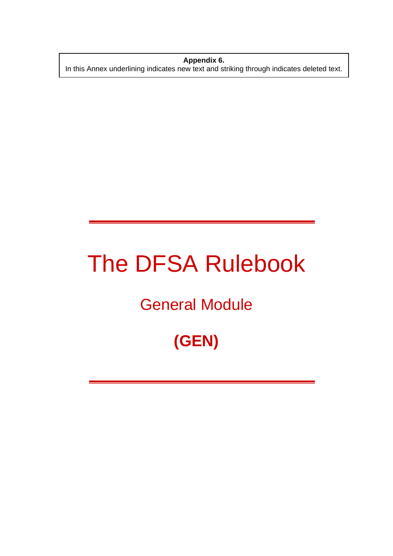**Appendix 6.**  In this Annex underlining indicates new text and striking through indicates deleted text.

# The DFSA Rulebook

# General Module

# **(GEN)**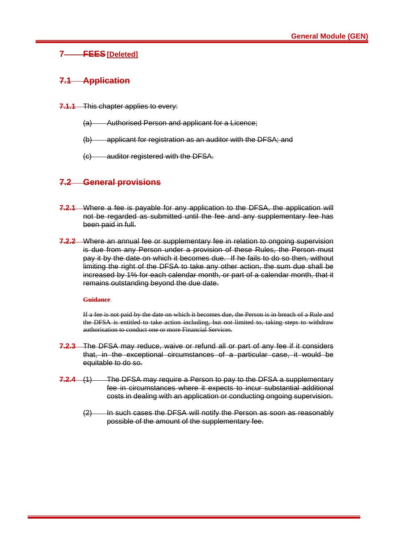# **7 FEES [Deleted]**

#### **7.1 Application**

- **7.1.1** This chapter applies to every:
	- (a) Authorised Person and applicant for a Licence;
	- (b) applicant for registration as an auditor with the DFSA; and
	- (c) auditor registered with the DFSA.

# **7.2 General provisions**

- **7.2.1** Where a fee is payable for any application to the DFSA, the application will not be regarded as submitted until the fee and any supplementary fee has been paid in full.
- **7.2.2** Where an annual fee or supplementary fee in relation to ongoing supervision is due from any Person under a provision of these Rules, the Person must pay it by the date on which it becomes due. If he fails to do so then, without limiting the right of the DFSA to take any other action, the sum due shall be increased by 1% for each calendar month, or part of a calendar month, that it remains outstanding beyond the due date.

#### **Guidance**

If a fee is not paid by the date on which it becomes due, the Person is in breach of a Rule and the DFSA is entitled to take action including, but not limited to, taking steps to withdraw authorisation to conduct one or more Financial Services.

- **7.2.3** The DFSA may reduce, waive or refund all or part of any fee if it considers that, in the exceptional circumstances of a particular case, it would be equitable to do so.
- **7.2.4** (1) The DFSA may require a Person to pay to the DFSA a supplementary fee in circumstances where it expects to incur substantial additional costs in dealing with an application or conducting ongoing supervision.
	- $(2)$  In such cases the DFSA will notify the Person as soon as reasonably possible of the amount of the supplementary fee.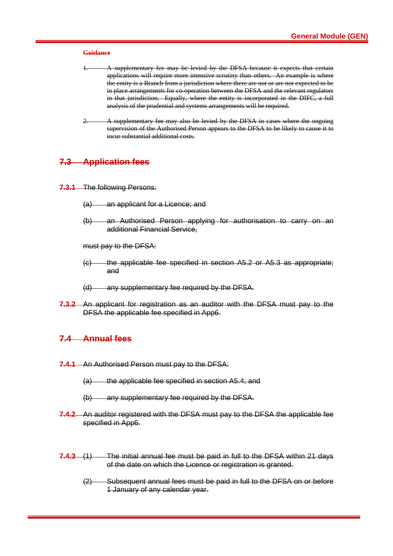#### **Guidance**

- A supplementary fee may be levied by the DFSA because it expects that certain applications will require more intensive scrutiny than others. An example is where the entity is a Branch from a jurisdiction where there are not or are not expected to be in place arrangements for co-operation between the DFSA and the relevant regulators in that jurisdiction. Equally, where the entity is incorporated in the DIFC, a full analysis of the prudential and systems arrangements will be required.
- A supplementary fee may also be levied by the DFSA in cases where the ongoing supervision of the Authorised Person appears to the DFSA to be likely to cause it to incur substantial additional costs.

#### **7.3 Application fees**

- **7.3.1** The following Persons:
	- (a) an applicant for a Licence; and
	- (b) an Authorised Person applying for authorisation to carry on an additional Financial Service,

must pay to the DFSA:

- (c) the applicable fee specified in section A5.2 or A5.3 as appropriate; and
- (d) any supplementary fee required by the DFSA.
- **7.3.2** An applicant for registration as an auditor with the DFSA must pay to the DFSA the applicable fee specified in App6.

#### **7.4 Annual fees**

- **7.4.1** An Authorised Person must pay to the DFSA:
	- (a) the applicable fee specified in section A5.4; and
	- (b) any supplementary fee required by the DFSA.
- **7.4.2** An auditor registered with the DFSA must pay to the DFSA the applicable fee specified in App6.
- **7.4.3** (1) The initial annual fee must be paid in full to the DFSA within 21 days of the date on which the Licence or registration is granted.
	- (2) Subsequent annual fees must be paid in full to the DFSA on or before 1 January of any calendar year.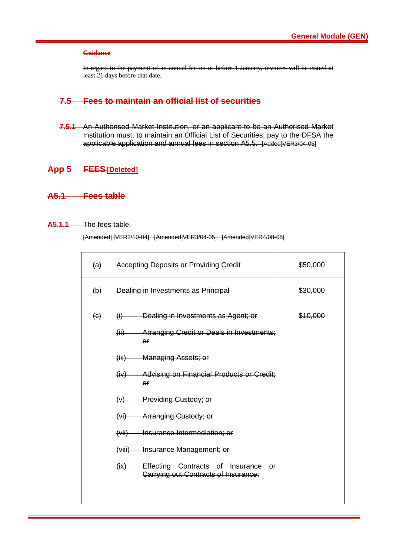#### **Guidance**

In regard to the payment of an annual fee on or before 1 January, invoices will be issued at least 21 days before that date.

# **7.5 Fees to maintain an official list of securities**

**7.5.1** An Authorised Market Institution, or an applicant to be an Authorised Market Institution must, to maintain an Official List of Securities, pay to the DFSA the applicable application and annual fees in section A5.5. [Added[VER3/04-05]

#### **App 5 FEES[Deleted]**

# **A5.1 Fees table**

#### **A5.1.1** The fees table.

[Amended] [VER2/10-04] [Amended]VER3/04-05] [Amended]VER4/08-05]

| $\left( a\right)$     | <b>Accepting Deposits or Providing Credit</b>                                                                                                                                                                                                                                                                                                               | \$50,000 |
|-----------------------|-------------------------------------------------------------------------------------------------------------------------------------------------------------------------------------------------------------------------------------------------------------------------------------------------------------------------------------------------------------|----------|
| $\Theta$              | Dealing in Investments as Principal                                                                                                                                                                                                                                                                                                                         | \$30,000 |
| $\left(\Theta\right)$ | $(i)$ Dealing in Investments as Agent; or<br>Arranging Credit or Deals in Investments;<br>(ii)<br>$\Theta$ $\Gamma$<br>(iii) Managing Assets; or<br>(iv) Advising on Financial Products or Credit;<br>$\Theta$ $\Gamma$<br>(v) Providing Custody; or<br>(vi) Arranging Custody; or<br>(vii) Insurance Intermediation; or<br>(viii) Insurance Management; or | \$10,000 |
|                       | (ix) Effecting Contracts of Insurance or<br><b>Carrying out Contracts of Insurance:</b>                                                                                                                                                                                                                                                                     |          |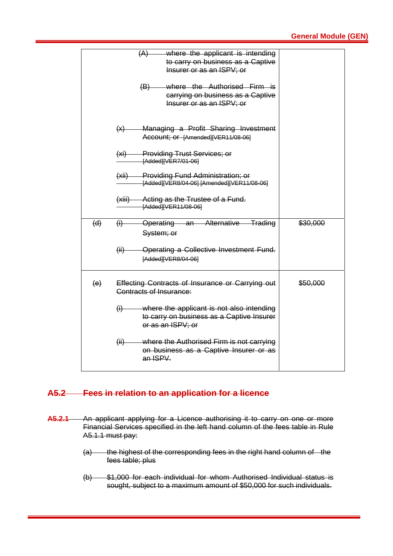|     | where the applicant is intending<br>(A)<br>to carry on business as a Captive<br>Insurer or as an ISPV; or<br>where the Authorised Firm is<br>(B)<br>carrying on business as a Captive<br>Insurer or as an ISPV; or |          |
|-----|--------------------------------------------------------------------------------------------------------------------------------------------------------------------------------------------------------------------|----------|
|     | Managing a Profit Sharing Investment<br>(x)<br>Account; or [Amended][VER11/08-06]                                                                                                                                  |          |
|     | (xi) Providing Trust Services; or<br>[Added][VER7/01-06]                                                                                                                                                           |          |
|     | (xii) Providing Fund Administration; or<br>[Added][VER8/04-06] [Amended][VER11/08-06]                                                                                                                              |          |
|     | (xiii) Acting as the Trustee of a Fund.<br>[Added][VER11/08-06]                                                                                                                                                    |          |
| (d) | Operating an Alternative Trading<br>$\bigoplus$<br>System; or                                                                                                                                                      | \$30,000 |
|     | -Operating a Collective Investment Fund.<br>(ii)<br>[Added][VER8/04-06]                                                                                                                                            |          |
| (e) | Effecting Contracts of Insurance or Carrying out<br>Contracts of Insurance:                                                                                                                                        | \$50,000 |
|     | where the applicant is not also intending<br>$\left( i\right)$<br>to carry on business as a Captive Insurer<br>or as an ISPV; or                                                                                   |          |
|     | where the Authorised Firm is not carrying<br>$\overline{(\mathsf{iii})}$<br>on business as a Captive Insurer or as<br>an ISPV.                                                                                     |          |

# **A5.2 Fees in relation to an application for a licence**

- **A5.2.1** An applicant applying for a Licence authorising it to carry on one or more Financial Services specified in the left hand column of the fees table in Rule A5.1.1 must pay:
	- (a) the highest of the corresponding fees in the right hand column of the fees table; plus
	- (b) \$1,000 for each individual for whom Authorised Individual status is sought, subject to a maximum amount of \$50,000 for such individuals.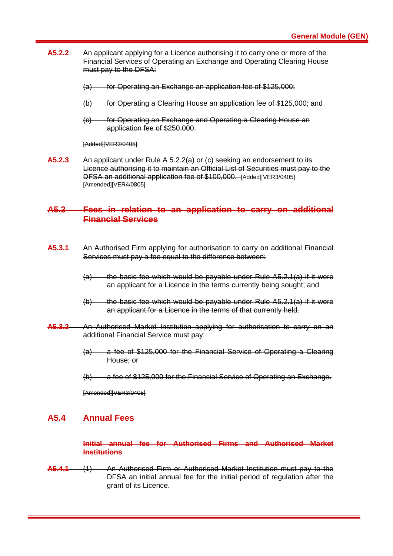- **A5.2.2** An applicant applying for a Licence authorising it to carry one or more of the Financial Services of Operating an Exchange and Operating Clearing House must pay to the DFSA:
	- (a) for Operating an Exchange an application fee of \$125,000;
	- (b) for Operating a Clearing House an application fee of \$125,000; and
	- (c) for Operating an Exchange and Operating a Clearing House an application fee of \$250,000.

[Added][VER3/0405]

**A5.2.3** An applicant under Rule A 5.2.2(a) or (c) seeking an endorsement to its Licence authorising it to maintain an Official List of Securities must pay to the DFSA an additional application fee of \$100,000. [Added][VER3/0405] [Amended][VER4/0805]

#### **A5.3 Fees in relation to an application to carry on additional Financial Services**

- **A5.3.1** An Authorised Firm applying for authorisation to carry on additional Financial Services must pay a fee equal to the difference between:
	- $(a)$  the basic fee which would be payable under Rule A5.2.1(a) if it were an applicant for a Licence in the terms currently being sought; and
	- (b) the basic fee which would be payable under Rule A5.2.1(a) if it were an applicant for a Licence in the terms of that currently held.
- **A5.3.2** An Authorised Market Institution applying for authorisation to carry on an additional Financial Service must pay:
	- (a) a fee of \$125,000 for the Financial Service of Operating a Clearing House; or
	- (b) a fee of \$125,000 for the Financial Service of Operating an Exchange.

[Amended][VER3/0405]

#### **A5.4 Annual Fees**

**Initial annual fee for Authorised Firms and Authorised Market Institutions**

**A5.4.1** (1) An Authorised Firm or Authorised Market Institution must pay to the DFSA an initial annual fee for the initial period of regulation after the grant of its Licence.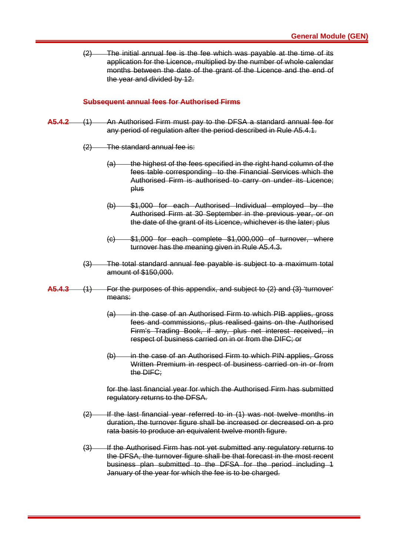(2) The initial annual fee is the fee which was payable at the time of its application for the Licence, multiplied by the number of whole calendar months between the date of the grant of the Licence and the end of the year and divided by 12.

#### **Subsequent annual fees for Authorised Firms**

- **A5.4.2** (1) An Authorised Firm must pay to the DFSA a standard annual fee for any period of regulation after the period described in Rule A5.4.1.
	- $(2)$  The standard annual fee is:
		- (a) the highest of the fees specified in the right hand column of the fees table corresponding to the Financial Services which the Authorised Firm is authorised to carry on under its Licence; plus
		- (b) \$1,000 for each Authorised Individual employed by the Authorised Firm at 30 September in the previous year, or on the date of the grant of its Licence, whichever is the later; plus
		- $(c)$  \$1,000 for each complete \$1,000,000 of turnover, where turnover has the meaning given in Rule A5.4.3.
	- (3) The total standard annual fee payable is subject to a maximum total amount of \$150,000.
- **A5.4.3** (1) For the purposes of this appendix, and subject to (2) and (3) 'turnover' means:
	- (a) in the case of an Authorised Firm to which PIB applies, gross fees and commissions, plus realised gains on the Authorised Firm's Trading Book, if any, plus net interest received, in respect of business carried on in or from the DIFC; or
	- (b) in the case of an Authorised Firm to which PIN applies, Gross Written Premium in respect of business carried on in or from the DIFC;

for the last financial year for which the Authorised Firm has submitted regulatory returns to the DFSA.

- (2) If the last financial year referred to in (1) was not twelve months in duration, the turnover figure shall be increased or decreased on a pro rata basis to produce an equivalent twelve month figure.
- (3) If the Authorised Firm has not yet submitted any regulatory returns to the DFSA, the turnover figure shall be that forecast in the most recent business plan submitted to the DFSA for the period including 1 January of the year for which the fee is to be charged.